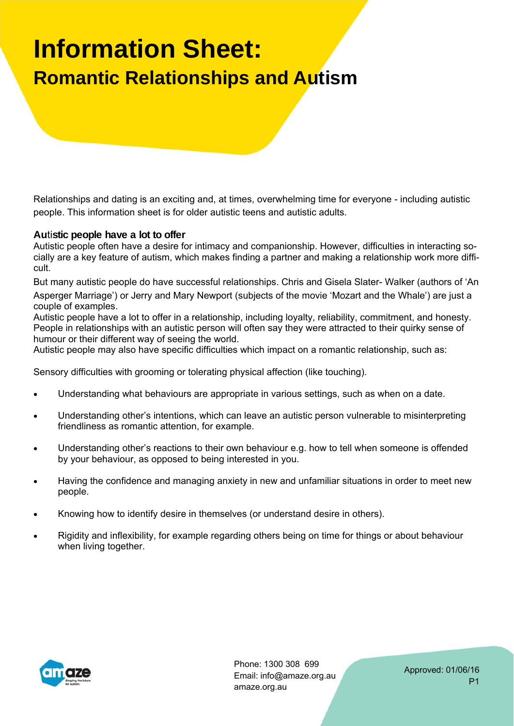# **Information Sheet: Romantic Relationships and Autism**

Relationships and dating is an exciting and, at times, overwhelming time for everyone ‐ including autistic people. This information sheet is for older autistic teens and autistic adults.

#### **Au**ti**stic people have a lot to offer**

Autistic people often have a desire for intimacy and companionship. However, difficulties in interacting socially are a key feature of autism, which makes finding a partner and making a relationship work more difficult.

But many autistic people do have successful relationships. Chris and Gisela Slater‐ Walker (authors of 'An Asperger Marriage') or Jerry and Mary Newport (subjects of the movie 'Mozart and the Whale') are just a couple of examples.

Autistic people have a lot to offer in a relationship, including loyalty, reliability, commitment, and honesty. People in relationships with an autistic person will often say they were attracted to their quirky sense of humour or their different way of seeing the world.

Autistic people may also have specific difficulties which impact on a romantic relationship, such as:

Sensory difficulties with grooming or tolerating physical affection (like touching).

- Understanding what behaviours are appropriate in various settings, such as when on a date.
- Understanding other's intentions, which can leave an autistic person vulnerable to misinterpreting friendliness as romantic attention, for example.
- Understanding other's reactions to their own behaviour e.g. how to tell when someone is offended by your behaviour, as opposed to being interested in you.
- Having the confidence and managing anxiety in new and unfamiliar situations in order to meet new people.
- Knowing how to identify desire in themselves (or understand desire in others).
- Rigidity and inflexibility, for example regarding others being on time for things or about behaviour when living together.



Phone: 1300 308 699 Email: info@amaze.org.au amaze.org.au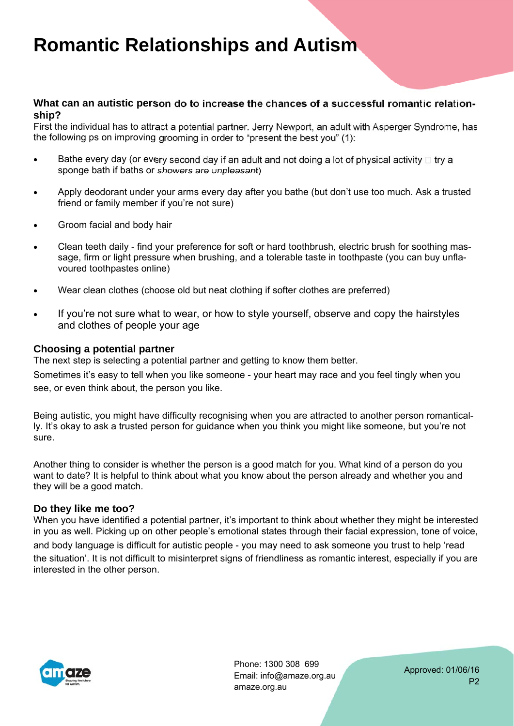#### **What can an autistic person do to increase the chances of a successful roman**ti**c rela**ti**onship?**

First the individual has to attract a potential partner. Jerry Newport, an adult with Asperger Syndrome, has the following ps on improving grooming in order to "present the best you" (1):

- **Bathe every day (or every second day if an adult and not doing a lot of physical activity**  $\Box$  **try a** sponge bath if baths or showers are unpleasant)
- Apply deodorant under your arms every day after you bathe (but don't use too much. Ask a trusted friend or family member if you're not sure)
- Groom facial and body hair
- Clean teeth daily find your preference for soft or hard toothbrush, electric brush for soothing massage, firm or light pressure when brushing, and a tolerable taste in toothpaste (you can buy unflavoured toothpastes online)
- Wear clean clothes (choose old but neat clothing if softer clothes are preferred)
- If you're not sure what to wear, or how to style yourself, observe and copy the hairstyles and clothes of people your age

#### **Choosing a potential partner**

The next step is selecting a potential partner and getting to know them better.

Sometimes it's easy to tell when you like someone ‐ your heart may race and you feel tingly when you see, or even think about, the person you like.

Being autistic, you might have difficulty recognising when you are attracted to another person romantically. It's okay to ask a trusted person for guidance when you think you might like someone, but you're not sure.

Another thing to consider is whether the person is a good match for you. What kind of a person do you want to date? It is helpful to think about what you know about the person already and whether you and they will be a good match.

#### **Do they like me too?**

When you have identified a potential partner, it's important to think about whether they might be interested in you as well. Picking up on other people's emotional states through their facial expression, tone of voice, and body language is difficult for autistic people ‐ you may need to ask someone you trust to help 'read the situation'. It is not difficult to misinterpret signs of friendliness as romantic interest, especially if you are interested in the other person.



Phone: 1300 308 699 Email: info@amaze.org.au amaze.org.au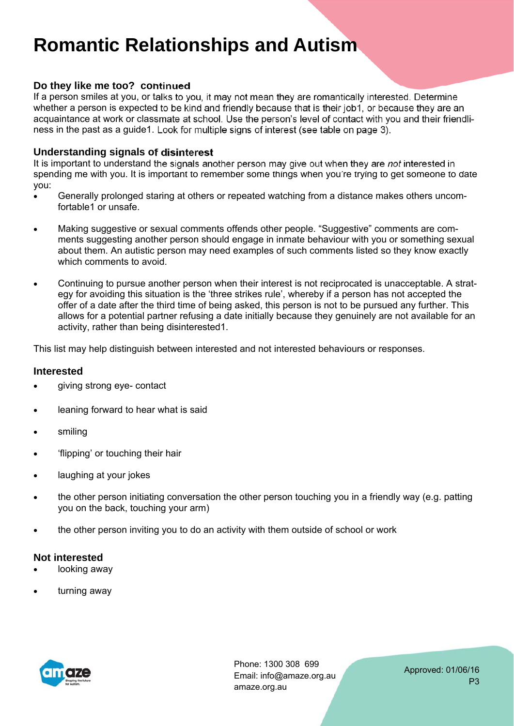#### **Do they like me too? continued**

If a person smiles at you, or talks to you, it may not mean they are romantically interested. Determine whether a person is expected to be kind and friendly because that is their job1, or because they are an acquaintance at work or classmate at school. Use the person's level of contact with you and their friendliness in the past as a guide1. Look for multiple signs of interest (see table on page 3).

#### **Understanding signals of disinterest**

It is important to understand the signals another person may give out when they are *not* interested in spending me with you. It is important to remember some things when you're trying to get someone to date you:

- Generally prolonged staring at others or repeated watching from a distance makes others uncomfortable1 or unsafe.
- Making suggestive or sexual comments offends other people. "Suggestive" comments are comments suggesting another person should engage in inmate behaviour with you or something sexual about them. An autistic person may need examples of such comments listed so they know exactly which comments to avoid.
- Continuing to pursue another person when their interest is not reciprocated is unacceptable. A strategy for avoiding this situation is the 'three strikes rule', whereby if a person has not accepted the offer of a date after the third time of being asked, this person is not to be pursued any further. This allows for a potential partner refusing a date initially because they genuinely are not available for an activity, rather than being disinterested1.

This list may help distinguish between interested and not interested behaviours or responses.

#### **Interested**

- giving strong eye- contact
- **.** leaning forward to hear what is said
- smiling
- 'flipping' or touching their hair
- laughing at your jokes
- the other person initiating conversation the other person touching you in a friendly way (e.g. patting you on the back, touching your arm)
- the other person inviting you to do an activity with them outside of school or work

#### **Not interested**

- looking away
- turning away



Phone: 1300 308 699 Email: info@amaze.org.au amaze.org.au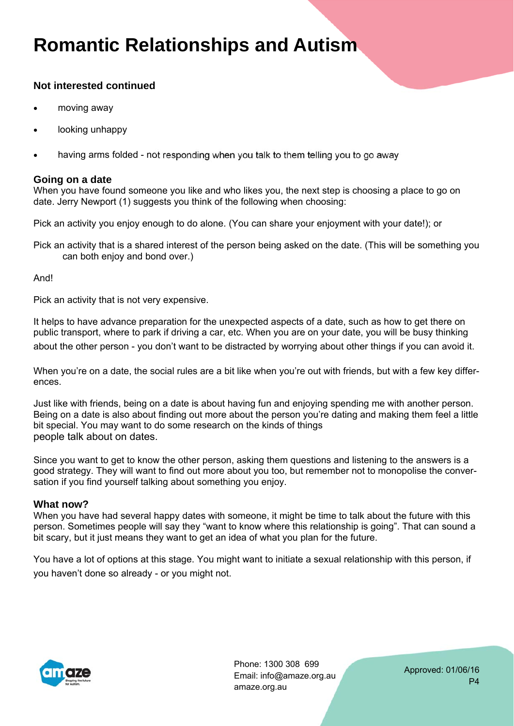### **Not interested continued**

- moving away
- looking unhappy
- having arms folded ‐ not responding when you talk to them telling you to go away

#### **Going on a date**

When you have found someone you like and who likes you, the next step is choosing a place to go on date. Jerry Newport (1) suggests you think of the following when choosing:

Pick an activity you enjoy enough to do alone. (You can share your enjoyment with your date!); or

Pick an activity that is a shared interest of the person being asked on the date. (This will be something you can both enjoy and bond over.)

And!

Pick an activity that is not very expensive.

It helps to have advance preparation for the unexpected aspects of a date, such as how to get there on public transport, where to park if driving a car, etc. When you are on your date, you will be busy thinking about the other person ‐ you don't want to be distracted by worrying about other things if you can avoid it.

When you're on a date, the social rules are a bit like when you're out with friends, but with a few key differences.

Just like with friends, being on a date is about having fun and enjoying spending me with another person. Being on a date is also about finding out more about the person you're dating and making them feel a little bit special. You may want to do some research on the kinds of things people talk about on dates.

Since you want to get to know the other person, asking them questions and listening to the answers is a good strategy. They will want to find out more about you too, but remember not to monopolise the conversation if you find yourself talking about something you enjoy.

#### **What now?**

When you have had several happy dates with someone, it might be time to talk about the future with this person. Sometimes people will say they "want to know where this relationship is going". That can sound a bit scary, but it just means they want to get an idea of what you plan for the future.

You have a lot of options at this stage. You might want to initiate a sexual relationship with this person, if you haven't done so already ‐ or you might not.



Phone: 1300 308 699 Email: info@amaze.org.au amaze.org.au